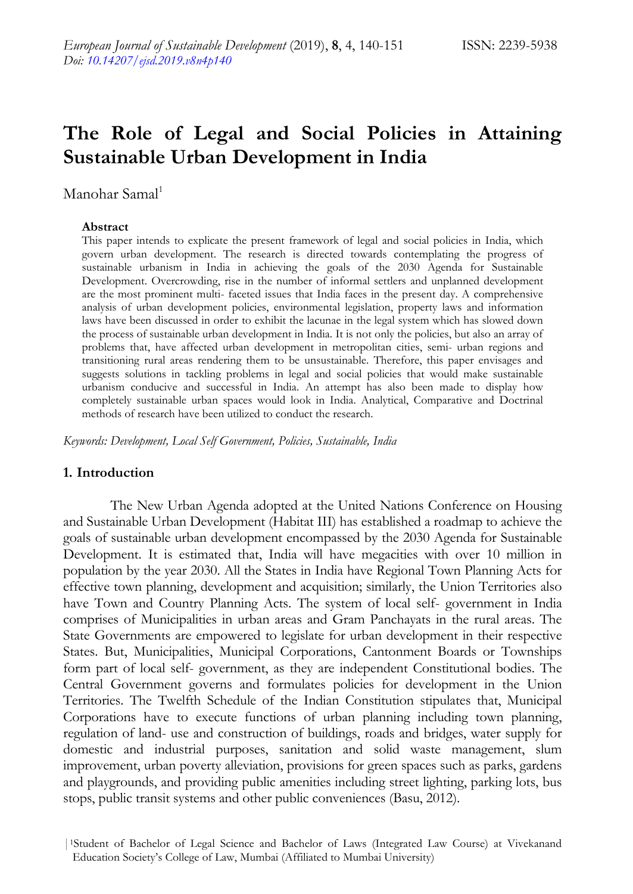# **The Role of Legal and Social Policies in Attaining Sustainable Urban Development in India**

Manohar Samal<sup>1</sup>

#### **Abstract**

This paper intends to explicate the present framework of legal and social policies in India, which govern urban development. The research is directed towards contemplating the progress of sustainable urbanism in India in achieving the goals of the 2030 Agenda for Sustainable Development. Overcrowding, rise in the number of informal settlers and unplanned development are the most prominent multi- faceted issues that India faces in the present day. A comprehensive analysis of urban development policies, environmental legislation, property laws and information laws have been discussed in order to exhibit the lacunae in the legal system which has slowed down the process of sustainable urban development in India. It is not only the policies, but also an array of problems that, have affected urban development in metropolitan cities, semi- urban regions and transitioning rural areas rendering them to be unsustainable. Therefore, this paper envisages and suggests solutions in tackling problems in legal and social policies that would make sustainable urbanism conducive and successful in India. An attempt has also been made to display how completely sustainable urban spaces would look in India. Analytical, Comparative and Doctrinal methods of research have been utilized to conduct the research.

*Keywords: Development, Local Self Government, Policies, Sustainable, India*

#### **1. Introduction**

The New Urban Agenda adopted at the United Nations Conference on Housing and Sustainable Urban Development (Habitat III) has established a roadmap to achieve the goals of sustainable urban development encompassed by the 2030 Agenda for Sustainable Development. It is estimated that, India will have megacities with over 10 million in population by the year 2030. All the States in India have Regional Town Planning Acts for effective town planning, development and acquisition; similarly, the Union Territories also have Town and Country Planning Acts. The system of local self- government in India comprises of Municipalities in urban areas and Gram Panchayats in the rural areas. The State Governments are empowered to legislate for urban development in their respective States. But, Municipalities, Municipal Corporations, Cantonment Boards or Townships form part of local self- government, as they are independent Constitutional bodies. The Central Government governs and formulates policies for development in the Union Territories. The Twelfth Schedule of the Indian Constitution stipulates that, Municipal Corporations have to execute functions of urban planning including town planning, regulation of land- use and construction of buildings, roads and bridges, water supply for domestic and industrial purposes, sanitation and solid waste management, slum improvement, urban poverty alleviation, provisions for green spaces such as parks, gardens and playgrounds, and providing public amenities including street lighting, parking lots, bus stops, public transit systems and other public conveniences (Basu, 2012).

<sup>|</sup>1Student of Bachelor of Legal Science and Bachelor of Laws (Integrated Law Course) at Vivekanand Education Society"s College of Law, Mumbai (Affiliated to Mumbai University)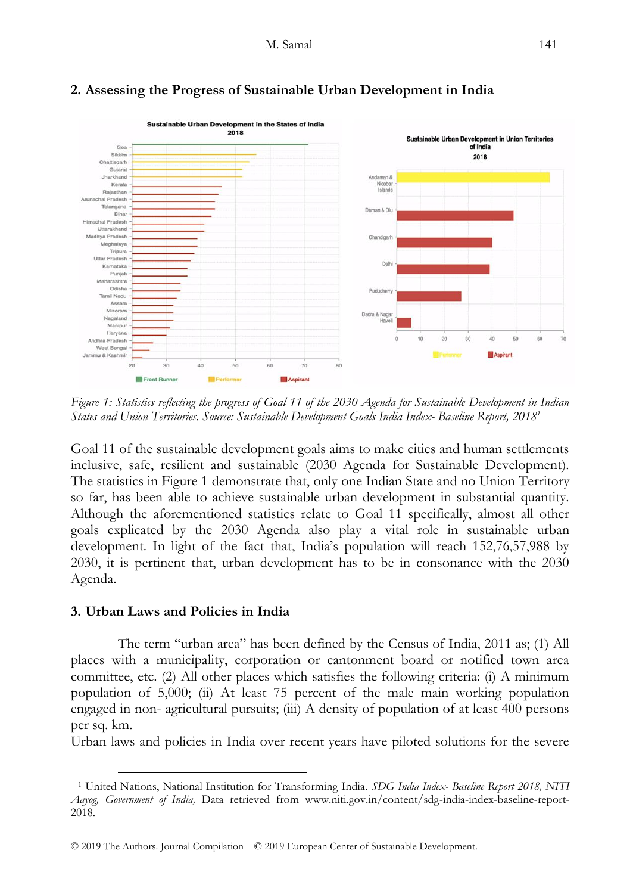

# **2. Assessing the Progress of Sustainable Urban Development in India**

*Figure 1: Statistics reflecting the progress of Goal 11 of the 2030 Agenda for Sustainable Development in Indian States and Union Territories. Source: Sustainable Development Goals India Index- Baseline Report, 2018<sup>1</sup>*

Goal 11 of the sustainable development goals aims to make cities and human settlements inclusive, safe, resilient and sustainable (2030 Agenda for Sustainable Development). The statistics in Figure 1 demonstrate that, only one Indian State and no Union Territory so far, has been able to achieve sustainable urban development in substantial quantity. Although the aforementioned statistics relate to Goal 11 specifically, almost all other goals explicated by the 2030 Agenda also play a vital role in sustainable urban development. In light of the fact that, India"s population will reach 152,76,57,988 by 2030, it is pertinent that, urban development has to be in consonance with the 2030 Agenda.

### **3. Urban Laws and Policies in India**

-

The term "urban area" has been defined by the Census of India, 2011 as; (1) All places with a municipality, corporation or cantonment board or notified town area committee, etc. (2) All other places which satisfies the following criteria: (i) A minimum population of 5,000; (ii) At least 75 percent of the male main working population engaged in non- agricultural pursuits; (iii) A density of population of at least 400 persons per sq. km.

Urban laws and policies in India over recent years have piloted solutions for the severe

<sup>1</sup> United Nations, National Institution for Transforming India. *SDG India Index- Baseline Report 2018, NITI Aayog, Government of India,* Data retrieved from www.niti.gov.in/content/sdg-india-index-baseline-report-2018.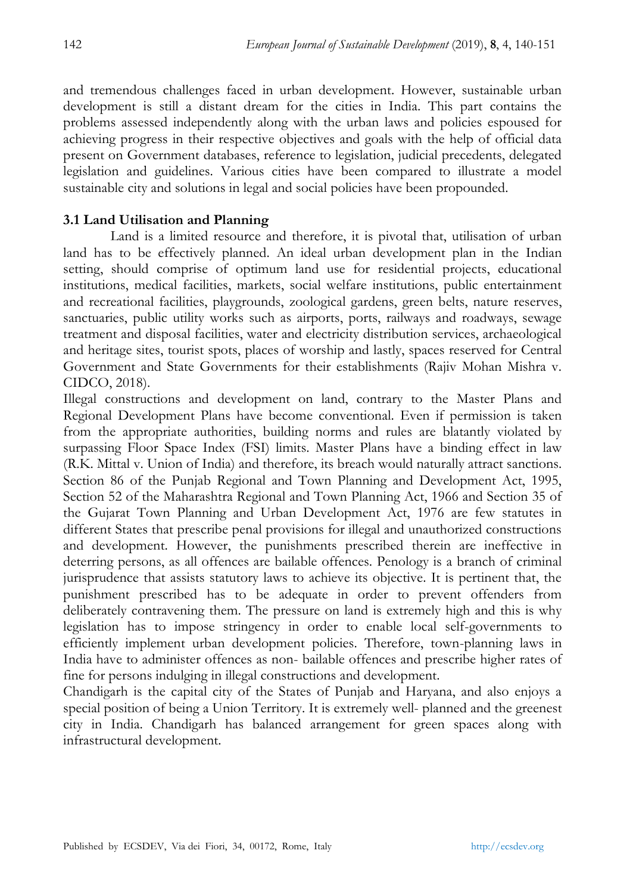and tremendous challenges faced in urban development. However, sustainable urban development is still a distant dream for the cities in India. This part contains the problems assessed independently along with the urban laws and policies espoused for achieving progress in their respective objectives and goals with the help of official data present on Government databases, reference to legislation, judicial precedents, delegated legislation and guidelines. Various cities have been compared to illustrate a model sustainable city and solutions in legal and social policies have been propounded.

## **3.1 Land Utilisation and Planning**

Land is a limited resource and therefore, it is pivotal that, utilisation of urban land has to be effectively planned. An ideal urban development plan in the Indian setting, should comprise of optimum land use for residential projects, educational institutions, medical facilities, markets, social welfare institutions, public entertainment and recreational facilities, playgrounds, zoological gardens, green belts, nature reserves, sanctuaries, public utility works such as airports, ports, railways and roadways, sewage treatment and disposal facilities, water and electricity distribution services, archaeological and heritage sites, tourist spots, places of worship and lastly, spaces reserved for Central Government and State Governments for their establishments (Rajiv Mohan Mishra v. CIDCO, 2018).

Illegal constructions and development on land, contrary to the Master Plans and Regional Development Plans have become conventional. Even if permission is taken from the appropriate authorities, building norms and rules are blatantly violated by surpassing Floor Space Index (FSI) limits. Master Plans have a binding effect in law (R.K. Mittal v. Union of India) and therefore, its breach would naturally attract sanctions. Section 86 of the Punjab Regional and Town Planning and Development Act, 1995, Section 52 of the Maharashtra Regional and Town Planning Act, 1966 and Section 35 of the Gujarat Town Planning and Urban Development Act, 1976 are few statutes in different States that prescribe penal provisions for illegal and unauthorized constructions and development. However, the punishments prescribed therein are ineffective in deterring persons, as all offences are bailable offences. Penology is a branch of criminal jurisprudence that assists statutory laws to achieve its objective. It is pertinent that, the punishment prescribed has to be adequate in order to prevent offenders from deliberately contravening them. The pressure on land is extremely high and this is why legislation has to impose stringency in order to enable local self-governments to efficiently implement urban development policies. Therefore, town-planning laws in India have to administer offences as non- bailable offences and prescribe higher rates of fine for persons indulging in illegal constructions and development.

Chandigarh is the capital city of the States of Punjab and Haryana, and also enjoys a special position of being a Union Territory. It is extremely well- planned and the greenest city in India. Chandigarh has balanced arrangement for green spaces along with infrastructural development.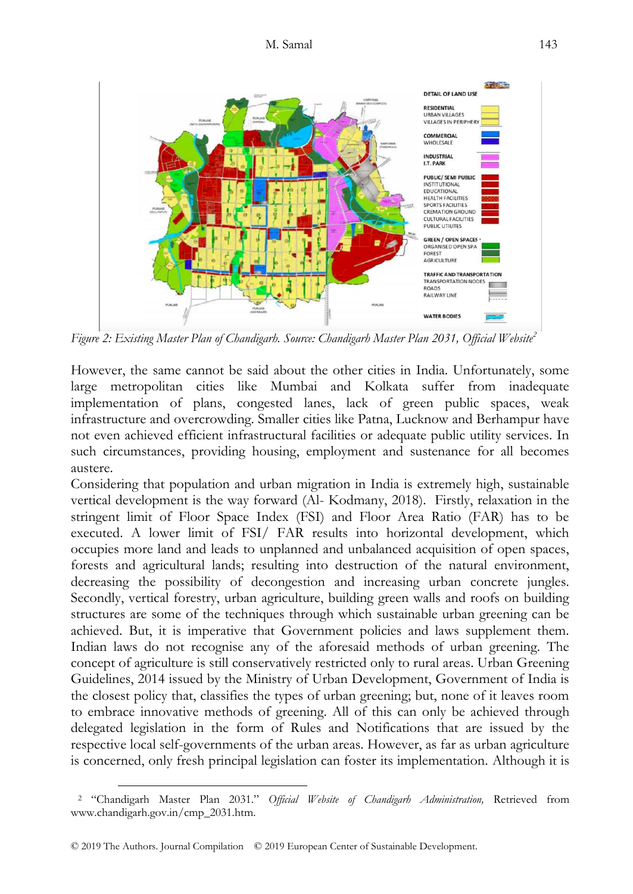

*Figure 2: Existing Master Plan of Chandigarh. Source: Chandigarh Master Plan 2031, Official Website<sup>2</sup>*

However, the same cannot be said about the other cities in India. Unfortunately, some large metropolitan cities like Mumbai and Kolkata suffer from inadequate implementation of plans, congested lanes, lack of green public spaces, weak infrastructure and overcrowding. Smaller cities like Patna, Lucknow and Berhampur have not even achieved efficient infrastructural facilities or adequate public utility services. In such circumstances, providing housing, employment and sustenance for all becomes austere.

Considering that population and urban migration in India is extremely high, sustainable vertical development is the way forward (Al- Kodmany, 2018). Firstly, relaxation in the stringent limit of Floor Space Index (FSI) and Floor Area Ratio (FAR) has to be executed. A lower limit of FSI/ FAR results into horizontal development, which occupies more land and leads to unplanned and unbalanced acquisition of open spaces, forests and agricultural lands; resulting into destruction of the natural environment, decreasing the possibility of decongestion and increasing urban concrete jungles. Secondly, vertical forestry, urban agriculture, building green walls and roofs on building structures are some of the techniques through which sustainable urban greening can be achieved. But, it is imperative that Government policies and laws supplement them. Indian laws do not recognise any of the aforesaid methods of urban greening. The concept of agriculture is still conservatively restricted only to rural areas. Urban Greening Guidelines, 2014 issued by the Ministry of Urban Development, Government of India is the closest policy that, classifies the types of urban greening; but, none of it leaves room to embrace innovative methods of greening. All of this can only be achieved through delegated legislation in the form of Rules and Notifications that are issued by the respective local self-governments of the urban areas. However, as far as urban agriculture is concerned, only fresh principal legislation can foster its implementation. Although it is

-

<sup>2</sup> "Chandigarh Master Plan 2031." *Official Website of Chandigarh Administration,* Retrieved from www.chandigarh.gov.in/cmp\_2031.htm.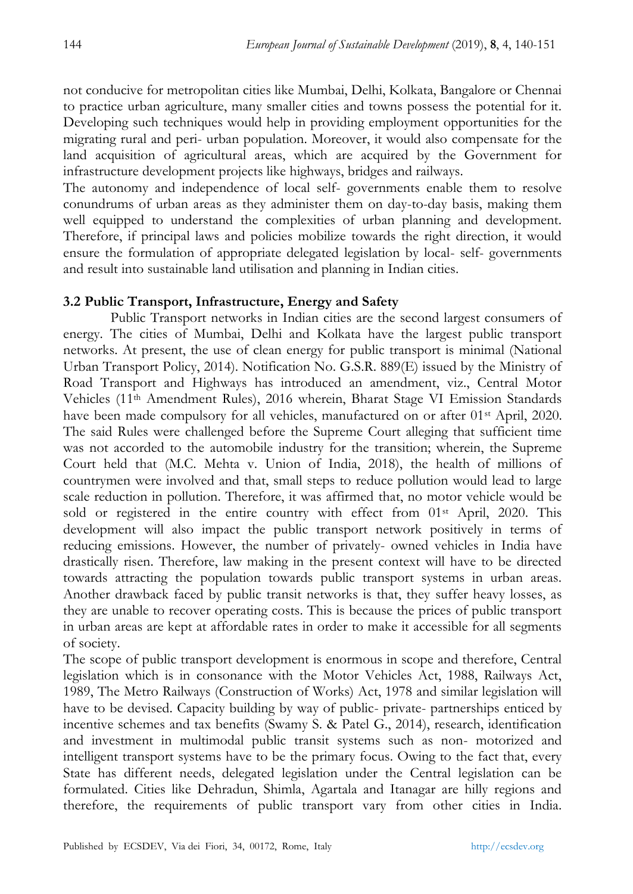not conducive for metropolitan cities like Mumbai, Delhi, Kolkata, Bangalore or Chennai to practice urban agriculture, many smaller cities and towns possess the potential for it. Developing such techniques would help in providing employment opportunities for the migrating rural and peri- urban population. Moreover, it would also compensate for the land acquisition of agricultural areas, which are acquired by the Government for infrastructure development projects like highways, bridges and railways.

The autonomy and independence of local self- governments enable them to resolve conundrums of urban areas as they administer them on day-to-day basis, making them well equipped to understand the complexities of urban planning and development. Therefore, if principal laws and policies mobilize towards the right direction, it would ensure the formulation of appropriate delegated legislation by local- self- governments and result into sustainable land utilisation and planning in Indian cities.

## **3.2 Public Transport, Infrastructure, Energy and Safety**

Public Transport networks in Indian cities are the second largest consumers of energy. The cities of Mumbai, Delhi and Kolkata have the largest public transport networks. At present, the use of clean energy for public transport is minimal (National Urban Transport Policy, 2014). Notification No. G.S.R. 889(E) issued by the Ministry of Road Transport and Highways has introduced an amendment, viz., Central Motor Vehicles (11th Amendment Rules), 2016 wherein, Bharat Stage VI Emission Standards have been made compulsory for all vehicles, manufactured on or after 01<sup>st</sup> April, 2020. The said Rules were challenged before the Supreme Court alleging that sufficient time was not accorded to the automobile industry for the transition; wherein, the Supreme Court held that (M.C. Mehta v. Union of India, 2018), the health of millions of countrymen were involved and that, small steps to reduce pollution would lead to large scale reduction in pollution. Therefore, it was affirmed that, no motor vehicle would be sold or registered in the entire country with effect from 01<sup>st</sup> April, 2020. This development will also impact the public transport network positively in terms of reducing emissions. However, the number of privately- owned vehicles in India have drastically risen. Therefore, law making in the present context will have to be directed towards attracting the population towards public transport systems in urban areas. Another drawback faced by public transit networks is that, they suffer heavy losses, as they are unable to recover operating costs. This is because the prices of public transport in urban areas are kept at affordable rates in order to make it accessible for all segments of society.

The scope of public transport development is enormous in scope and therefore, Central legislation which is in consonance with the Motor Vehicles Act, 1988, Railways Act, 1989, The Metro Railways (Construction of Works) Act, 1978 and similar legislation will have to be devised. Capacity building by way of public- private- partnerships enticed by incentive schemes and tax benefits (Swamy S. & Patel G., 2014), research, identification and investment in multimodal public transit systems such as non- motorized and intelligent transport systems have to be the primary focus. Owing to the fact that, every State has different needs, delegated legislation under the Central legislation can be formulated. Cities like Dehradun, Shimla, Agartala and Itanagar are hilly regions and therefore, the requirements of public transport vary from other cities in India.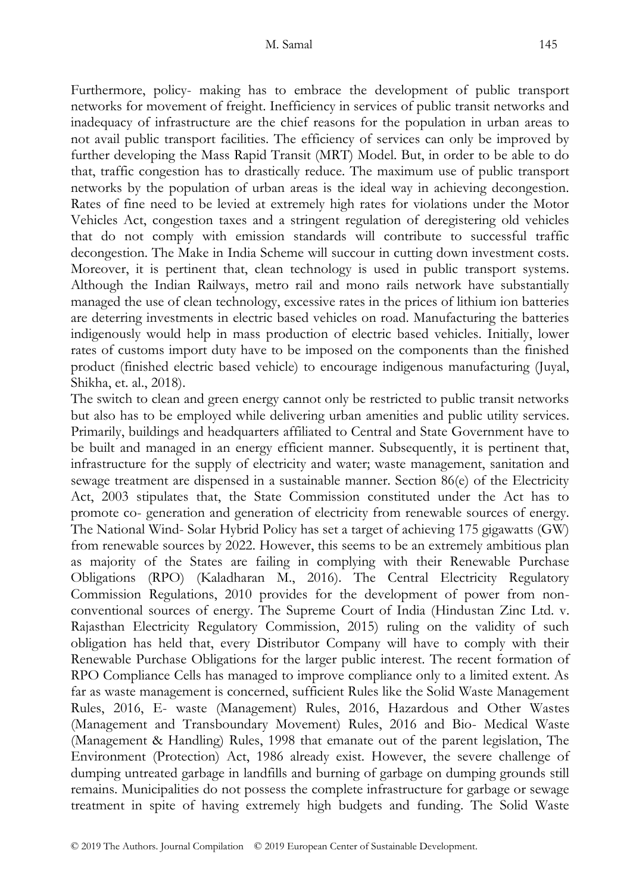Furthermore, policy- making has to embrace the development of public transport networks for movement of freight. Inefficiency in services of public transit networks and inadequacy of infrastructure are the chief reasons for the population in urban areas to not avail public transport facilities. The efficiency of services can only be improved by further developing the Mass Rapid Transit (MRT) Model. But, in order to be able to do that, traffic congestion has to drastically reduce. The maximum use of public transport networks by the population of urban areas is the ideal way in achieving decongestion. Rates of fine need to be levied at extremely high rates for violations under the Motor Vehicles Act, congestion taxes and a stringent regulation of deregistering old vehicles that do not comply with emission standards will contribute to successful traffic decongestion. The Make in India Scheme will succour in cutting down investment costs. Moreover, it is pertinent that, clean technology is used in public transport systems. Although the Indian Railways, metro rail and mono rails network have substantially managed the use of clean technology, excessive rates in the prices of lithium ion batteries are deterring investments in electric based vehicles on road. Manufacturing the batteries indigenously would help in mass production of electric based vehicles. Initially, lower rates of customs import duty have to be imposed on the components than the finished product (finished electric based vehicle) to encourage indigenous manufacturing (Juyal, Shikha, et. al., 2018).

The switch to clean and green energy cannot only be restricted to public transit networks but also has to be employed while delivering urban amenities and public utility services. Primarily, buildings and headquarters affiliated to Central and State Government have to be built and managed in an energy efficient manner. Subsequently, it is pertinent that, infrastructure for the supply of electricity and water; waste management, sanitation and sewage treatment are dispensed in a sustainable manner. Section 86(e) of the Electricity Act, 2003 stipulates that, the State Commission constituted under the Act has to promote co- generation and generation of electricity from renewable sources of energy. The National Wind- Solar Hybrid Policy has set a target of achieving 175 gigawatts (GW) from renewable sources by 2022. However, this seems to be an extremely ambitious plan as majority of the States are failing in complying with their Renewable Purchase Obligations (RPO) (Kaladharan M., 2016). The Central Electricity Regulatory Commission Regulations, 2010 provides for the development of power from nonconventional sources of energy. The Supreme Court of India (Hindustan Zinc Ltd. v. Rajasthan Electricity Regulatory Commission, 2015) ruling on the validity of such obligation has held that, every Distributor Company will have to comply with their Renewable Purchase Obligations for the larger public interest. The recent formation of RPO Compliance Cells has managed to improve compliance only to a limited extent. As far as waste management is concerned, sufficient Rules like the Solid Waste Management Rules, 2016, E- waste (Management) Rules, 2016, Hazardous and Other Wastes (Management and Transboundary Movement) Rules, 2016 and Bio- Medical Waste (Management & Handling) Rules, 1998 that emanate out of the parent legislation, The Environment (Protection) Act, 1986 already exist. However, the severe challenge of dumping untreated garbage in landfills and burning of garbage on dumping grounds still remains. Municipalities do not possess the complete infrastructure for garbage or sewage treatment in spite of having extremely high budgets and funding. The Solid Waste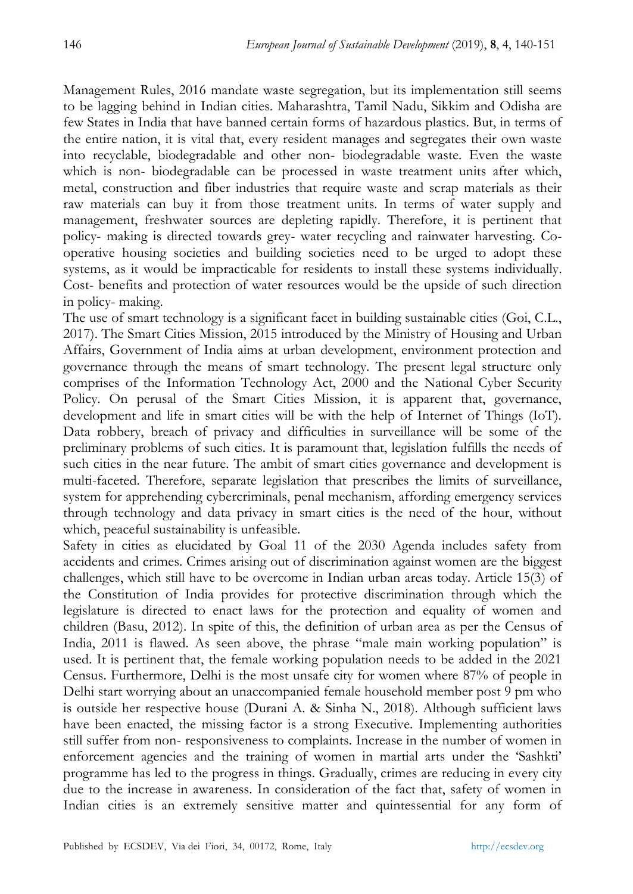Management Rules, 2016 mandate waste segregation, but its implementation still seems to be lagging behind in Indian cities. Maharashtra, Tamil Nadu, Sikkim and Odisha are few States in India that have banned certain forms of hazardous plastics. But, in terms of the entire nation, it is vital that, every resident manages and segregates their own waste into recyclable, biodegradable and other non- biodegradable waste. Even the waste which is non- biodegradable can be processed in waste treatment units after which, metal, construction and fiber industries that require waste and scrap materials as their raw materials can buy it from those treatment units. In terms of water supply and management, freshwater sources are depleting rapidly. Therefore, it is pertinent that policy- making is directed towards grey- water recycling and rainwater harvesting. Cooperative housing societies and building societies need to be urged to adopt these systems, as it would be impracticable for residents to install these systems individually. Cost- benefits and protection of water resources would be the upside of such direction in policy- making.

The use of smart technology is a significant facet in building sustainable cities (Goi, C.L., 2017). The Smart Cities Mission, 2015 introduced by the Ministry of Housing and Urban Affairs, Government of India aims at urban development, environment protection and governance through the means of smart technology. The present legal structure only comprises of the Information Technology Act, 2000 and the National Cyber Security Policy. On perusal of the Smart Cities Mission, it is apparent that, governance, development and life in smart cities will be with the help of Internet of Things (IoT). Data robbery, breach of privacy and difficulties in surveillance will be some of the preliminary problems of such cities. It is paramount that, legislation fulfills the needs of such cities in the near future. The ambit of smart cities governance and development is multi-faceted. Therefore, separate legislation that prescribes the limits of surveillance, system for apprehending cybercriminals, penal mechanism, affording emergency services through technology and data privacy in smart cities is the need of the hour, without which, peaceful sustainability is unfeasible.

Safety in cities as elucidated by Goal 11 of the 2030 Agenda includes safety from accidents and crimes. Crimes arising out of discrimination against women are the biggest challenges, which still have to be overcome in Indian urban areas today. Article 15(3) of the Constitution of India provides for protective discrimination through which the legislature is directed to enact laws for the protection and equality of women and children (Basu, 2012). In spite of this, the definition of urban area as per the Census of India, 2011 is flawed. As seen above, the phrase "male main working population" is used. It is pertinent that, the female working population needs to be added in the 2021 Census. Furthermore, Delhi is the most unsafe city for women where 87% of people in Delhi start worrying about an unaccompanied female household member post 9 pm who is outside her respective house (Durani A. & Sinha N., 2018). Although sufficient laws have been enacted, the missing factor is a strong Executive. Implementing authorities still suffer from non- responsiveness to complaints. Increase in the number of women in enforcement agencies and the training of women in martial arts under the "Sashkti" programme has led to the progress in things. Gradually, crimes are reducing in every city due to the increase in awareness. In consideration of the fact that, safety of women in Indian cities is an extremely sensitive matter and quintessential for any form of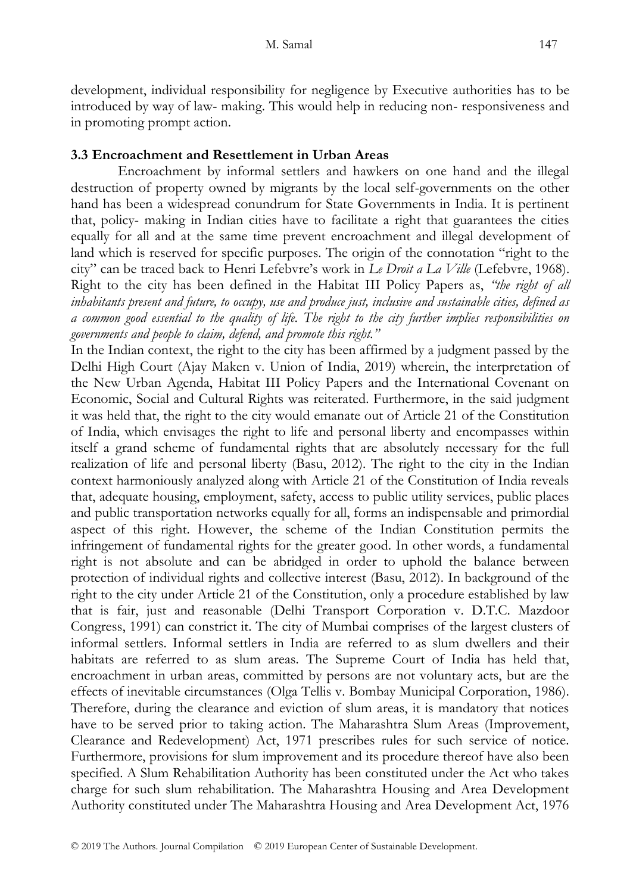development, individual responsibility for negligence by Executive authorities has to be introduced by way of law- making. This would help in reducing non- responsiveness and in promoting prompt action.

# **3.3 Encroachment and Resettlement in Urban Areas**

Encroachment by informal settlers and hawkers on one hand and the illegal destruction of property owned by migrants by the local self-governments on the other hand has been a widespread conundrum for State Governments in India. It is pertinent that, policy- making in Indian cities have to facilitate a right that guarantees the cities equally for all and at the same time prevent encroachment and illegal development of land which is reserved for specific purposes. The origin of the connotation "right to the city" can be traced back to Henri Lefebvre"s work in *Le Droit a La Ville* (Lefebvre, 1968). Right to the city has been defined in the Habitat III Policy Papers as, *"the right of all inhabitants present and future, to occupy, use and produce just, inclusive and sustainable cities, defined as a common good essential to the quality of life. The right to the city further implies responsibilities on governments and people to claim, defend, and promote this right."*

In the Indian context, the right to the city has been affirmed by a judgment passed by the Delhi High Court (Ajay Maken v. Union of India, 2019) wherein, the interpretation of the New Urban Agenda, Habitat III Policy Papers and the International Covenant on Economic, Social and Cultural Rights was reiterated. Furthermore, in the said judgment it was held that, the right to the city would emanate out of Article 21 of the Constitution of India, which envisages the right to life and personal liberty and encompasses within itself a grand scheme of fundamental rights that are absolutely necessary for the full realization of life and personal liberty (Basu, 2012). The right to the city in the Indian context harmoniously analyzed along with Article 21 of the Constitution of India reveals that, adequate housing, employment, safety, access to public utility services, public places and public transportation networks equally for all, forms an indispensable and primordial aspect of this right. However, the scheme of the Indian Constitution permits the infringement of fundamental rights for the greater good. In other words, a fundamental right is not absolute and can be abridged in order to uphold the balance between protection of individual rights and collective interest (Basu, 2012). In background of the right to the city under Article 21 of the Constitution, only a procedure established by law that is fair, just and reasonable (Delhi Transport Corporation v. D.T.C. Mazdoor Congress, 1991) can constrict it. The city of Mumbai comprises of the largest clusters of informal settlers. Informal settlers in India are referred to as slum dwellers and their habitats are referred to as slum areas. The Supreme Court of India has held that, encroachment in urban areas, committed by persons are not voluntary acts, but are the effects of inevitable circumstances (Olga Tellis v. Bombay Municipal Corporation, 1986). Therefore, during the clearance and eviction of slum areas, it is mandatory that notices have to be served prior to taking action. The Maharashtra Slum Areas (Improvement, Clearance and Redevelopment) Act, 1971 prescribes rules for such service of notice. Furthermore, provisions for slum improvement and its procedure thereof have also been specified. A Slum Rehabilitation Authority has been constituted under the Act who takes charge for such slum rehabilitation. The Maharashtra Housing and Area Development Authority constituted under The Maharashtra Housing and Area Development Act, 1976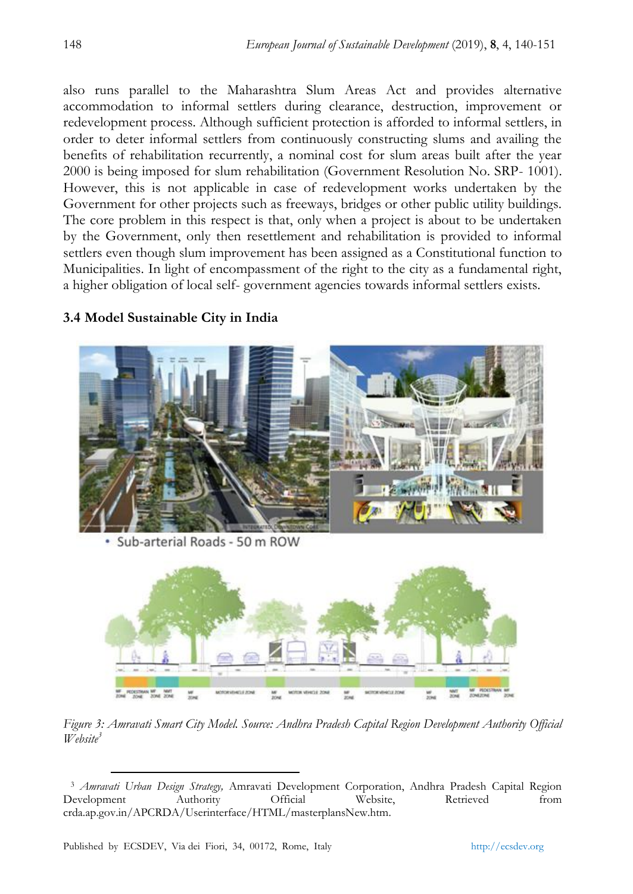also runs parallel to the Maharashtra Slum Areas Act and provides alternative accommodation to informal settlers during clearance, destruction, improvement or redevelopment process. Although sufficient protection is afforded to informal settlers, in order to deter informal settlers from continuously constructing slums and availing the benefits of rehabilitation recurrently, a nominal cost for slum areas built after the year 2000 is being imposed for slum rehabilitation (Government Resolution No. SRP- 1001). However, this is not applicable in case of redevelopment works undertaken by the Government for other projects such as freeways, bridges or other public utility buildings. The core problem in this respect is that, only when a project is about to be undertaken by the Government, only then resettlement and rehabilitation is provided to informal settlers even though slum improvement has been assigned as a Constitutional function to Municipalities. In light of encompassment of the right to the city as a fundamental right, a higher obligation of local self- government agencies towards informal settlers exists.



## **3.4 Model Sustainable City in India**

· Sub-arterial Roads - 50 m ROW



*Figure 3: Amravati Smart City Model. Source: Andhra Pradesh Capital Region Development Authority Official Website<sup>3</sup>*

 $\overline{a}$ 

<sup>3</sup> *Amravati Urban Design Strategy,* Amravati Development Corporation, Andhra Pradesh Capital Region Development Authority Official Website, Retrieved from crda.ap.gov.in/APCRDA/Userinterface/HTML/masterplansNew.htm.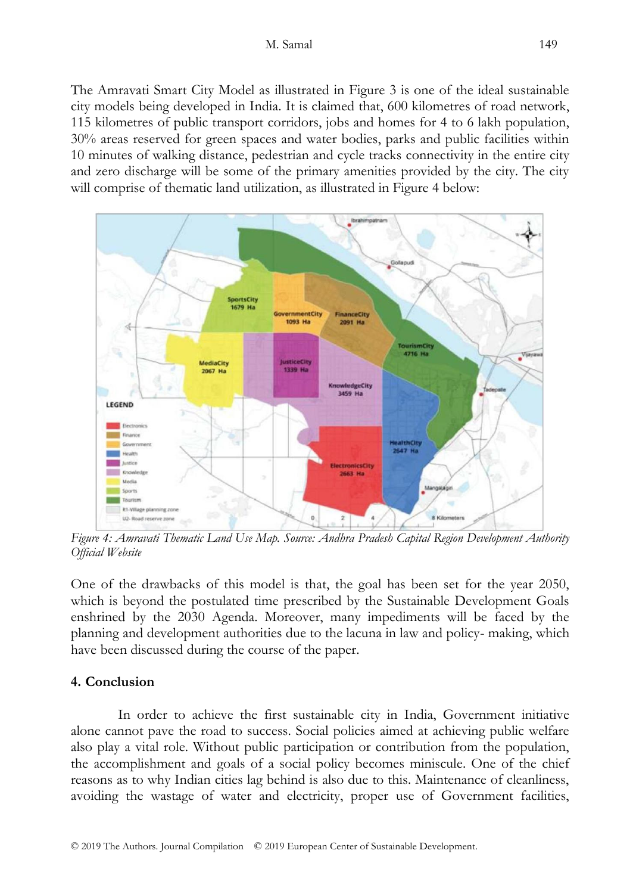#### M. Samal 149

The Amravati Smart City Model as illustrated in Figure 3 is one of the ideal sustainable city models being developed in India. It is claimed that, 600 kilometres of road network, 115 kilometres of public transport corridors, jobs and homes for 4 to 6 lakh population, 30% areas reserved for green spaces and water bodies, parks and public facilities within 10 minutes of walking distance, pedestrian and cycle tracks connectivity in the entire city and zero discharge will be some of the primary amenities provided by the city. The city will comprise of thematic land utilization, as illustrated in Figure 4 below:



*Figure 4: Amravati Thematic Land Use Map. Source: Andhra Pradesh Capital Region Development Authority Official Website* 

One of the drawbacks of this model is that, the goal has been set for the year 2050, which is beyond the postulated time prescribed by the Sustainable Development Goals enshrined by the 2030 Agenda. Moreover, many impediments will be faced by the planning and development authorities due to the lacuna in law and policy- making, which have been discussed during the course of the paper.

### **4. Conclusion**

In order to achieve the first sustainable city in India, Government initiative alone cannot pave the road to success. Social policies aimed at achieving public welfare also play a vital role. Without public participation or contribution from the population, the accomplishment and goals of a social policy becomes miniscule. One of the chief reasons as to why Indian cities lag behind is also due to this. Maintenance of cleanliness, avoiding the wastage of water and electricity, proper use of Government facilities,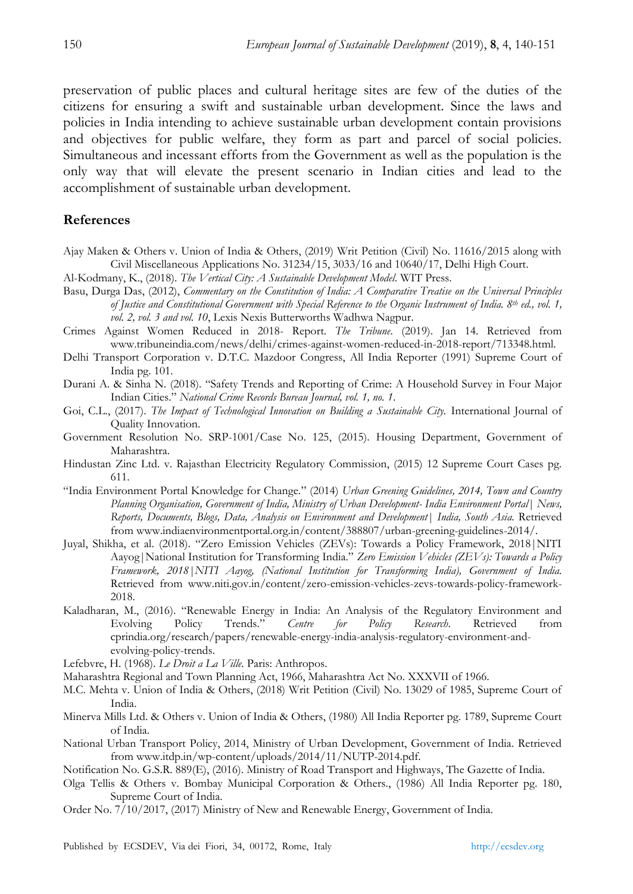preservation of public places and cultural heritage sites are few of the duties of the citizens for ensuring a swift and sustainable urban development. Since the laws and policies in India intending to achieve sustainable urban development contain provisions and objectives for public welfare, they form as part and parcel of social policies. Simultaneous and incessant efforts from the Government as well as the population is the only way that will elevate the present scenario in Indian cities and lead to the accomplishment of sustainable urban development.

### **References**

- Ajay Maken & Others v. Union of India & Others, (2019) Writ Petition (Civil) No. 11616/2015 along with Civil Miscellaneous Applications No. 31234/15, 3033/16 and 10640/17, Delhi High Court.
- Al-Kodmany, K., (2018). *The Vertical City: A Sustainable Development Model*. WIT Press.
- Basu, Durga Das, (2012), *Commentary on the Constitution of India: A Comparative Treatise on the Universal Principles of Justice and Constitutional Government with Special Reference to the Organic Instrument of India. 8th ed., vol. 1, vol. 2, vol. 3 and vol. 10*, Lexis Nexis Butterworths Wadhwa Nagpur.
- Crimes Against Women Reduced in 2018- Report*. The Tribune*. (2019). Jan 14. Retrieved from www.tribuneindia.com/news/delhi/crimes-against-women-reduced-in-2018-report/713348.html.
- Delhi Transport Corporation v. D.T.C. Mazdoor Congress, All India Reporter (1991) Supreme Court of India pg. 101.
- Durani A. & Sinha N. (2018). "Safety Trends and Reporting of Crime: A Household Survey in Four Major Indian Cities." *National Crime Records Bureau Journal, vol. 1, no. 1*.
- Goi, C.L., (2017). The Impact of Technological Innovation on Building a Sustainable City. International Journal of Quality Innovation.
- Government Resolution No. SRP-1001/Case No. 125, (2015). Housing Department, Government of Maharashtra.
- Hindustan Zinc Ltd. v. Rajasthan Electricity Regulatory Commission, (2015) 12 Supreme Court Cases pg. 611.
- "India Environment Portal Knowledge for Change." (2014) *Urban Greening Guidelines, 2014, Town and Country Planning Organisation, Government of India, Ministry of Urban Development- India Environment Portal| News, Reports, Documents, Blogs, Data, Analysis on Environment and Development| India, South Asia.* Retrieved from www.indiaenvironmentportal.org.in/content/388807/urban-greening-guidelines-2014/.
- Juyal, Shikha, et al. (2018). "Zero Emission Vehicles (ZEVs): Towards a Policy Framework, 2018|NITI Aayog|National Institution for Transforming India." *Zero Emission Vehicles (ZEVs): Towards a Policy Framework, 2018|NITI Aayog, (National Institution for Transforming India), Government of India.*  Retrieved from www.niti.gov.in/content/zero-emission-vehicles-zevs-towards-policy-framework-2018.
- Kaladharan, M., (2016). "Renewable Energy in India: An Analysis of the Regulatory Environment and Evolving Policy Trends." *Centre for Policy Research*. Retrieved from cprindia.org/research/papers/renewable-energy-india-analysis-regulatory-environment-andevolving-policy-trends.
- Lefebvre, H. (1968). *Le Droit a La Ville.* Paris: Anthropos.

Maharashtra Regional and Town Planning Act, 1966, Maharashtra Act No. XXXVII of 1966.

- M.C. Mehta v. Union of India & Others, (2018) Writ Petition (Civil) No. 13029 of 1985, Supreme Court of India.
- Minerva Mills Ltd. & Others v. Union of India & Others, (1980) All India Reporter pg. 1789, Supreme Court of India.
- National Urban Transport Policy, 2014, Ministry of Urban Development, Government of India. Retrieved from www.itdp.in/wp-content/uploads/2014/11/NUTP-2014.pdf.

Notification No. G.S.R. 889(E), (2016). Ministry of Road Transport and Highways, The Gazette of India.

- Olga Tellis & Others v. Bombay Municipal Corporation & Others., (1986) All India Reporter pg. 180, Supreme Court of India.
- Order No. 7/10/2017, (2017) Ministry of New and Renewable Energy, Government of India.